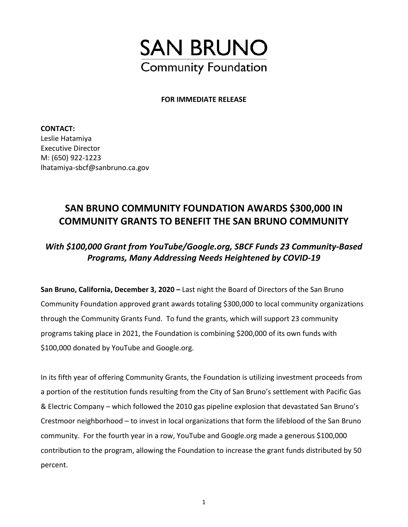

## **FOR IMMEDIATE RELEASE**

**CONTACT:**  Leslie Hatamiya Executive Director M: (650) 922-1223 lhatamiya-sbcf@sanbruno.ca.gov

## **SAN BRUNO COMMUNITY FOUNDATION AWARDS \$300,000 IN COMMUNITY GRANTS TO BENEFIT THE SAN BRUNO COMMUNITY**

## *With \$100,000 Grant from YouTube/Google.org, SBCF Funds 23 Community-Based Programs, Many Addressing Needs Heightened by COVID-19*

**San Bruno, California, December 3, 2020 –** Last night the Board of Directors of the San Bruno Community Foundation approved grant awards totaling \$300,000 to local community organizations through the Community Grants Fund. To fund the grants, which will support 23 community programs taking place in 2021, the Foundation is combining \$200,000 of its own funds with \$100,000 donated by YouTube and Google.org.

In its fifth year of offering Community Grants, the Foundation is utilizing investment proceeds from a portion of the restitution funds resulting from the City of San Bruno's settlement with Pacific Gas & Electric Company – which followed the 2010 gas pipeline explosion that devastated San Bruno's Crestmoor neighborhood – to invest in local organizations that form the lifeblood of the San Bruno community. For the fourth year in a row, YouTube and Google.org made a generous \$100,000 contribution to the program, allowing the Foundation to increase the grant funds distributed by 50 percent.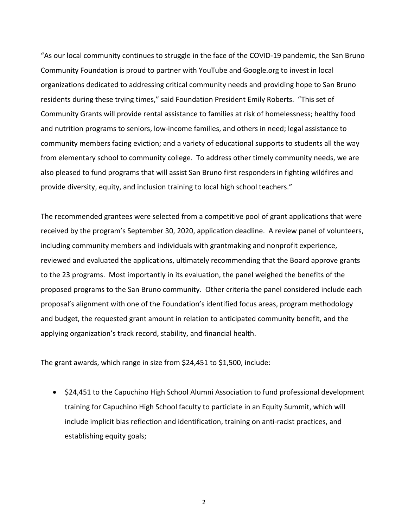"As our local community continues to struggle in the face of the COVID-19 pandemic, the San Bruno Community Foundation is proud to partner with YouTube and Google.org to invest in local organizations dedicated to addressing critical community needs and providing hope to San Bruno residents during these trying times," said Foundation President Emily Roberts. "This set of Community Grants will provide rental assistance to families at risk of homelessness; healthy food and nutrition programs to seniors, low-income families, and others in need; legal assistance to community members facing eviction; and a variety of educational supports to students all the way from elementary school to community college. To address other timely community needs, we are also pleased to fund programs that will assist San Bruno first responders in fighting wildfires and provide diversity, equity, and inclusion training to local high school teachers."

The recommended grantees were selected from a competitive pool of grant applications that were received by the program's September 30, 2020, application deadline. A review panel of volunteers, including community members and individuals with grantmaking and nonprofit experience, reviewed and evaluated the applications, ultimately recommending that the Board approve grants to the 23 programs. Most importantly in its evaluation, the panel weighed the benefits of the proposed programs to the San Bruno community. Other criteria the panel considered include each proposal's alignment with one of the Foundation's identified focus areas, program methodology and budget, the requested grant amount in relation to anticipated community benefit, and the applying organization's track record, stability, and financial health.

The grant awards, which range in size from \$24,451 to \$1,500, include:

• \$24,451 to the Capuchino High School Alumni Association to fund professional development training for Capuchino High School faculty to particiate in an Equity Summit, which will include implicit bias reflection and identification, training on anti-racist practices, and establishing equity goals;

2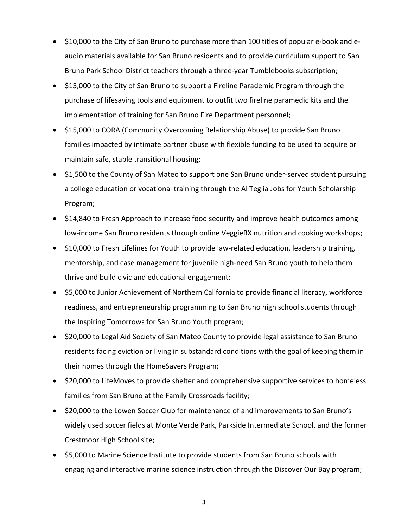- \$10,000 to the City of San Bruno to purchase more than 100 titles of popular e-book and eaudio materials available for San Bruno residents and to provide curriculum support to San Bruno Park School District teachers through a three-year Tumblebooks subscription;
- \$15,000 to the City of San Bruno to support a Fireline Parademic Program through the purchase of lifesaving tools and equipment to outfit two fireline paramedic kits and the implementation of training for San Bruno Fire Department personnel;
- \$15,000 to CORA (Community Overcoming Relationship Abuse) to provide San Bruno families impacted by intimate partner abuse with flexible funding to be used to acquire or maintain safe, stable transitional housing;
- \$1,500 to the County of San Mateo to support one San Bruno under-served student pursuing a college education or vocational training through the Al Teglia Jobs for Youth Scholarship Program;
- \$14,840 to Fresh Approach to increase food security and improve health outcomes among low-income San Bruno residents through online VeggieRX nutrition and cooking workshops;
- \$10,000 to Fresh Lifelines for Youth to provide law-related education, leadership training, mentorship, and case management for juvenile high-need San Bruno youth to help them thrive and build civic and educational engagement;
- \$5,000 to Junior Achievement of Northern California to provide financial literacy, workforce readiness, and entrepreneurship programming to San Bruno high school students through the Inspiring Tomorrows for San Bruno Youth program;
- \$20,000 to Legal Aid Society of San Mateo County to provide legal assistance to San Bruno residents facing eviction or living in substandard conditions with the goal of keeping them in their homes through the HomeSavers Program;
- \$20,000 to LifeMoves to provide shelter and comprehensive supportive services to homeless families from San Bruno at the Family Crossroads facility;
- \$20,000 to the Lowen Soccer Club for maintenance of and improvements to San Bruno's widely used soccer fields at Monte Verde Park, Parkside Intermediate School, and the former Crestmoor High School site;
- \$5,000 to Marine Science Institute to provide students from San Bruno schools with engaging and interactive marine science instruction through the Discover Our Bay program;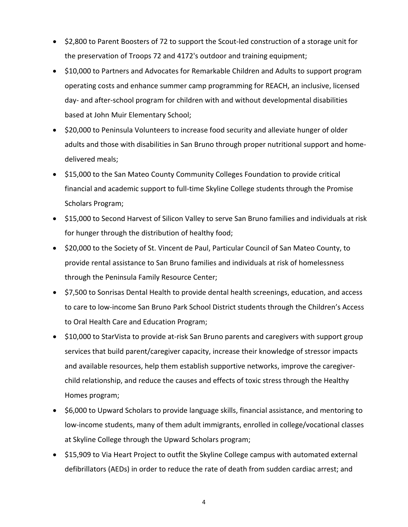- \$2,800 to Parent Boosters of 72 to support the Scout-led construction of a storage unit for the preservation of Troops 72 and 4172's outdoor and training equipment;
- \$10,000 to Partners and Advocates for Remarkable Children and Adults to support program operating costs and enhance summer camp programming for REACH, an inclusive, licensed day- and after-school program for children with and without developmental disabilities based at John Muir Elementary School;
- \$20,000 to Peninsula Volunteers to increase food security and alleviate hunger of older adults and those with disabilities in San Bruno through proper nutritional support and homedelivered meals;
- \$15,000 to the San Mateo County Community Colleges Foundation to provide critical financial and academic support to full-time Skyline College students through the Promise Scholars Program;
- \$15,000 to Second Harvest of Silicon Valley to serve San Bruno families and individuals at risk for hunger through the distribution of healthy food;
- \$20,000 to the Society of St. Vincent de Paul, Particular Council of San Mateo County, to provide rental assistance to San Bruno families and individuals at risk of homelessness through the Peninsula Family Resource Center;
- \$7,500 to Sonrisas Dental Health to provide dental health screenings, education, and access to care to low-income San Bruno Park School District students through the Children's Access to Oral Health Care and Education Program;
- \$10,000 to StarVista to provide at-risk San Bruno parents and caregivers with support group services that build parent/caregiver capacity, increase their knowledge of stressor impacts and available resources, help them establish supportive networks, improve the caregiverchild relationship, and reduce the causes and effects of toxic stress through the Healthy Homes program;
- \$6,000 to Upward Scholars to provide language skills, financial assistance, and mentoring to low-income students, many of them adult immigrants, enrolled in college/vocational classes at Skyline College through the Upward Scholars program;
- \$15,909 to Via Heart Project to outfit the Skyline College campus with automated external defibrillators (AEDs) in order to reduce the rate of death from sudden cardiac arrest; and